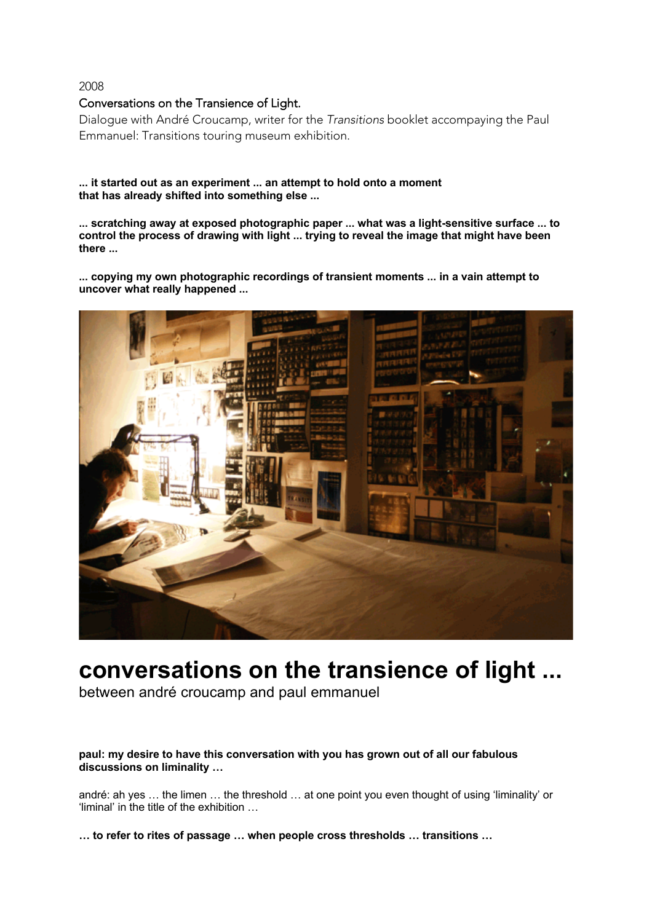# Conversations on the Transience of Light.

Dialogue with André Croucamp, writer for the *Transitions* booklet accompaying the Paul Emmanuel: Transitions touring museum exhibition.

# **... it started out as an experiment ... an attempt to hold onto a moment that has already shifted into something else ...**

**... scratching away at exposed photographic paper ... what was a light-sensitive surface ... to control the process of drawing with light ... trying to reveal the image that might have been there ...**

**... copying my own photographic recordings of transient moments ... in a vain attempt to uncover what really happened ...**



# **conversations on the transience of light ...**

between andré croucamp and paul emmanuel

# **paul: my desire to have this conversation with you has grown out of all our fabulous discussions on liminality …**

andré: ah yes … the limen … the threshold … at one point you even thought of using 'liminality' or 'liminal' in the title of the exhibition …

**… to refer to rites of passage … when people cross thresholds … transitions …**

2008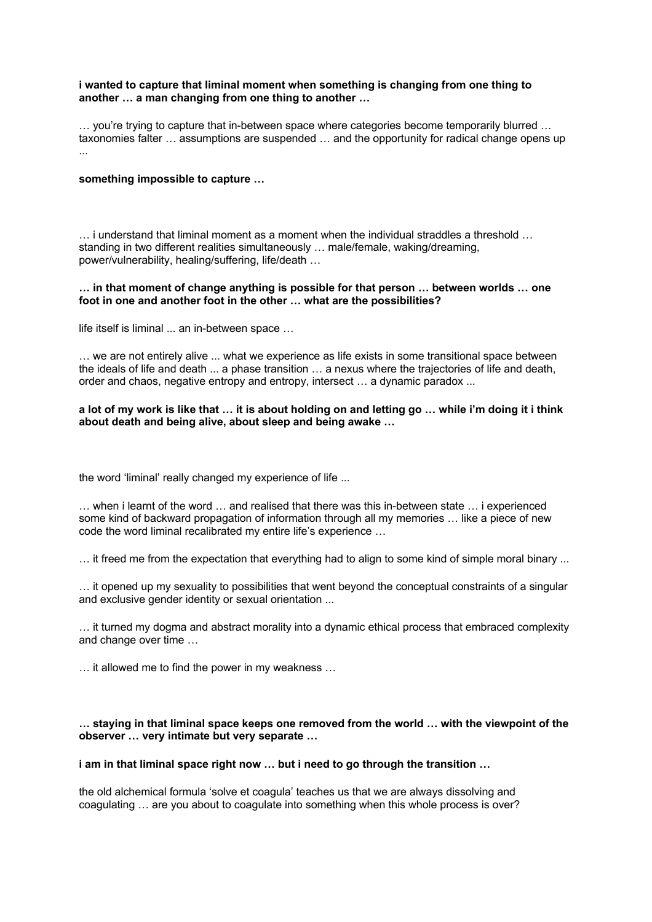#### **i wanted to capture that liminal moment when something is changing from one thing to another … a man changing from one thing to another …**

… you're trying to capture that in-between space where categories become temporarily blurred … taxonomies falter … assumptions are suspended … and the opportunity for radical change opens up ...

#### **something impossible to capture …**

… i understand that liminal moment as a moment when the individual straddles a threshold … standing in two different realities simultaneously … male/female, waking/dreaming, power/vulnerability, healing/suffering, life/death …

#### **… in that moment of change anything is possible for that person … between worlds … one foot in one and another foot in the other … what are the possibilities?**

life itself is liminal ... an in-between space …

… we are not entirely alive ... what we experience as life exists in some transitional space between the ideals of life and death ... a phase transition … a nexus where the trajectories of life and death, order and chaos, negative entropy and entropy, intersect … a dynamic paradox ...

# **a lot of my work is like that … it is about holding on and letting go … while i'm doing it i think about death and being alive, about sleep and being awake …**

the word 'liminal' really changed my experience of life ...

… when i learnt of the word … and realised that there was this in-between state … i experienced some kind of backward propagation of information through all my memories … like a piece of new code the word liminal recalibrated my entire life's experience …

… it freed me from the expectation that everything had to align to some kind of simple moral binary ...

… it opened up my sexuality to possibilities that went beyond the conceptual constraints of a singular and exclusive gender identity or sexual orientation ...

… it turned my dogma and abstract morality into a dynamic ethical process that embraced complexity and change over time …

… it allowed me to find the power in my weakness …

### **… staying in that liminal space keeps one removed from the world … with the viewpoint of the observer … very intimate but very separate …**

#### **i am in that liminal space right now … but i need to go through the transition …**

the old alchemical formula 'solve et coagula' teaches us that we are always dissolving and coagulating … are you about to coagulate into something when this whole process is over?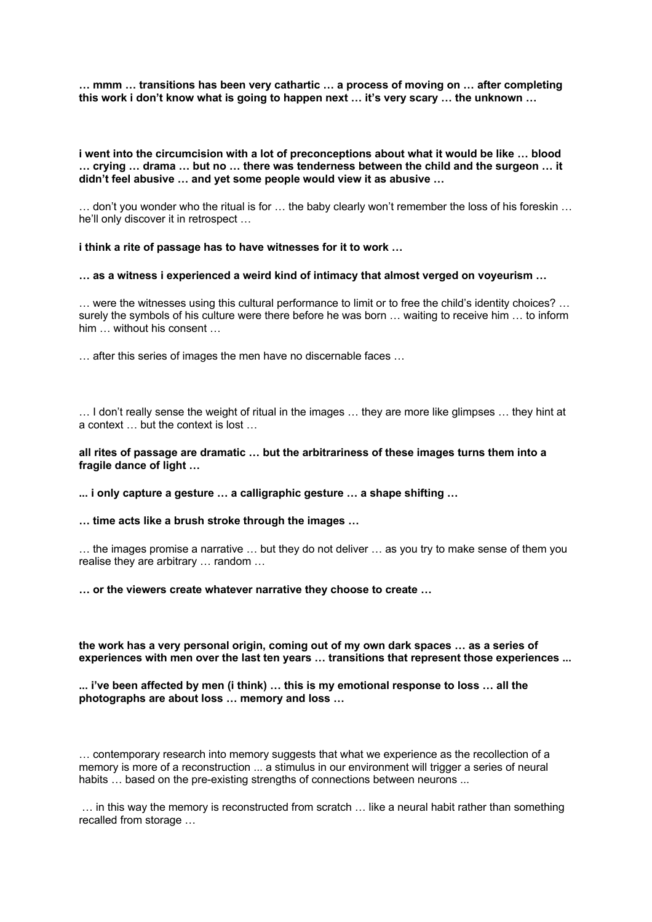**… mmm … transitions has been very cathartic … a process of moving on … after completing this work i don't know what is going to happen next … it's very scary … the unknown …**

**i went into the circumcision with a lot of preconceptions about what it would be like … blood … crying … drama … but no … there was tenderness between the child and the surgeon … it didn't feel abusive … and yet some people would view it as abusive …**

… don't you wonder who the ritual is for … the baby clearly won't remember the loss of his foreskin … he'll only discover it in retrospect …

**i think a rite of passage has to have witnesses for it to work …**

**… as a witness i experienced a weird kind of intimacy that almost verged on voyeurism …**

… were the witnesses using this cultural performance to limit or to free the child's identity choices? … surely the symbols of his culture were there before he was born … waiting to receive him … to inform him … without his consent …

… after this series of images the men have no discernable faces …

… I don't really sense the weight of ritual in the images … they are more like glimpses … they hint at a context … but the context is lost …

#### **all rites of passage are dramatic … but the arbitrariness of these images turns them into a fragile dance of light …**

**... i only capture a gesture … a calligraphic gesture … a shape shifting …**

**… time acts like a brush stroke through the images …**

… the images promise a narrative … but they do not deliver … as you try to make sense of them you realise they are arbitrary … random …

**… or the viewers create whatever narrative they choose to create …**

**the work has a very personal origin, coming out of my own dark spaces … as a series of experiences with men over the last ten years … transitions that represent those experiences ...**

**... i've been affected by men (i think) … this is my emotional response to loss … all the photographs are about loss … memory and loss …**

… contemporary research into memory suggests that what we experience as the recollection of a memory is more of a reconstruction ... a stimulus in our environment will trigger a series of neural habits ... based on the pre-existing strengths of connections between neurons ...

… in this way the memory is reconstructed from scratch … like a neural habit rather than something recalled from storage …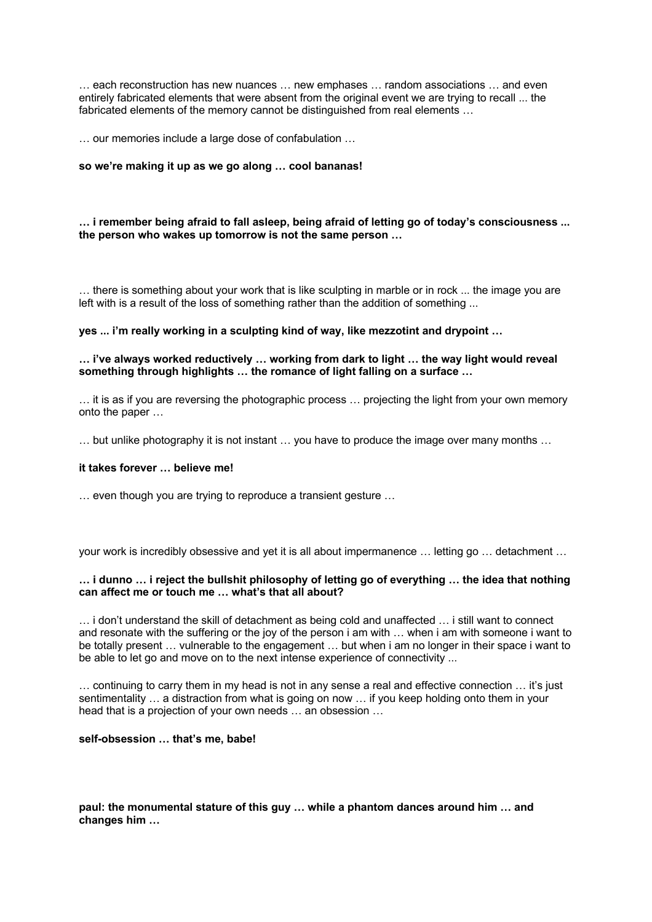… each reconstruction has new nuances … new emphases … random associations … and even entirely fabricated elements that were absent from the original event we are trying to recall ... the fabricated elements of the memory cannot be distinguished from real elements …

… our memories include a large dose of confabulation …

#### **so we're making it up as we go along … cool bananas!**

#### **… i remember being afraid to fall asleep, being afraid of letting go of today's consciousness ... the person who wakes up tomorrow is not the same person …**

… there is something about your work that is like sculpting in marble or in rock ... the image you are left with is a result of the loss of something rather than the addition of something ...

#### **yes ... i'm really working in a sculpting kind of way, like mezzotint and drypoint …**

#### **… i've always worked reductively … working from dark to light … the way light would reveal something through highlights … the romance of light falling on a surface …**

… it is as if you are reversing the photographic process … projecting the light from your own memory onto the paper …

… but unlike photography it is not instant … you have to produce the image over many months …

#### **it takes forever … believe me!**

… even though you are trying to reproduce a transient gesture …

your work is incredibly obsessive and yet it is all about impermanence … letting go … detachment …

#### **… i dunno … i reject the bullshit philosophy of letting go of everything … the idea that nothing can affect me or touch me … what's that all about?**

… i don't understand the skill of detachment as being cold and unaffected … i still want to connect and resonate with the suffering or the joy of the person i am with … when i am with someone i want to be totally present … vulnerable to the engagement … but when i am no longer in their space i want to be able to let go and move on to the next intense experience of connectivity ...

… continuing to carry them in my head is not in any sense a real and effective connection … it's just sentimentality … a distraction from what is going on now … if you keep holding onto them in your head that is a projection of your own needs … an obsession …

#### **self-obsession … that's me, babe!**

#### **paul: the monumental stature of this guy … while a phantom dances around him … and changes him …**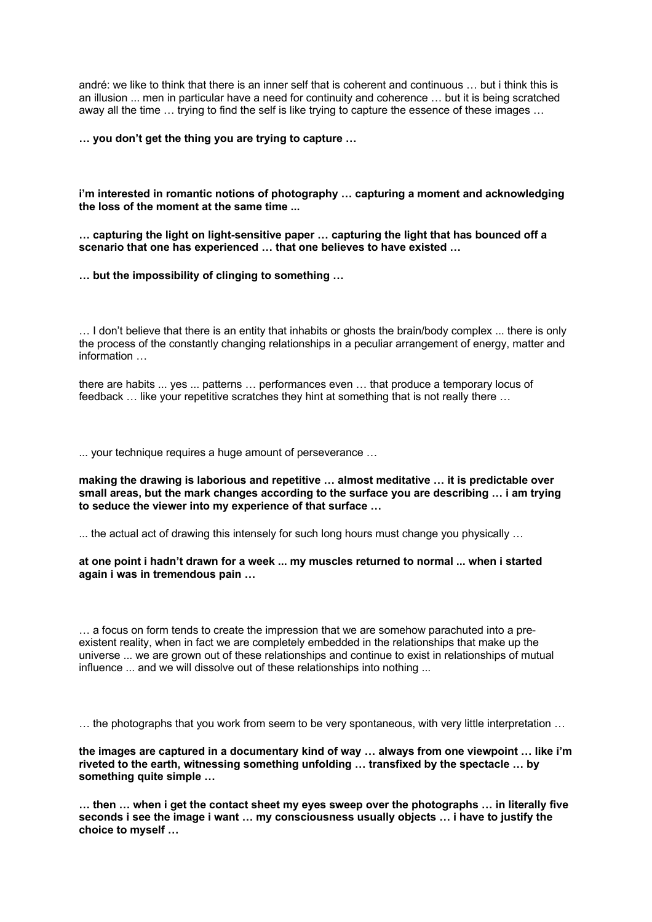andré: we like to think that there is an inner self that is coherent and continuous … but i think this is an illusion ... men in particular have a need for continuity and coherence … but it is being scratched away all the time … trying to find the self is like trying to capture the essence of these images …

**… you don't get the thing you are trying to capture …**

**i'm interested in romantic notions of photography … capturing a moment and acknowledging the loss of the moment at the same time ...**

**… capturing the light on light-sensitive paper … capturing the light that has bounced off a scenario that one has experienced … that one believes to have existed …**

**… but the impossibility of clinging to something …**

… I don't believe that there is an entity that inhabits or ghosts the brain/body complex ... there is only the process of the constantly changing relationships in a peculiar arrangement of energy, matter and information …

there are habits ... yes ... patterns … performances even … that produce a temporary locus of feedback … like your repetitive scratches they hint at something that is not really there …

... your technique requires a huge amount of perseverance …

**making the drawing is laborious and repetitive … almost meditative … it is predictable over small areas, but the mark changes according to the surface you are describing … i am trying to seduce the viewer into my experience of that surface …**

... the actual act of drawing this intensely for such long hours must change you physically …

**at one point i hadn't drawn for a week ... my muscles returned to normal ... when i started again i was in tremendous pain …**

… a focus on form tends to create the impression that we are somehow parachuted into a preexistent reality, when in fact we are completely embedded in the relationships that make up the universe ... we are grown out of these relationships and continue to exist in relationships of mutual influence ... and we will dissolve out of these relationships into nothing ...

… the photographs that you work from seem to be very spontaneous, with very little interpretation …

**the images are captured in a documentary kind of way … always from one viewpoint … like i'm riveted to the earth, witnessing something unfolding … transfixed by the spectacle … by something quite simple …**

**… then … when i get the contact sheet my eyes sweep over the photographs … in literally five seconds i see the image i want … my consciousness usually objects … i have to justify the choice to myself …**